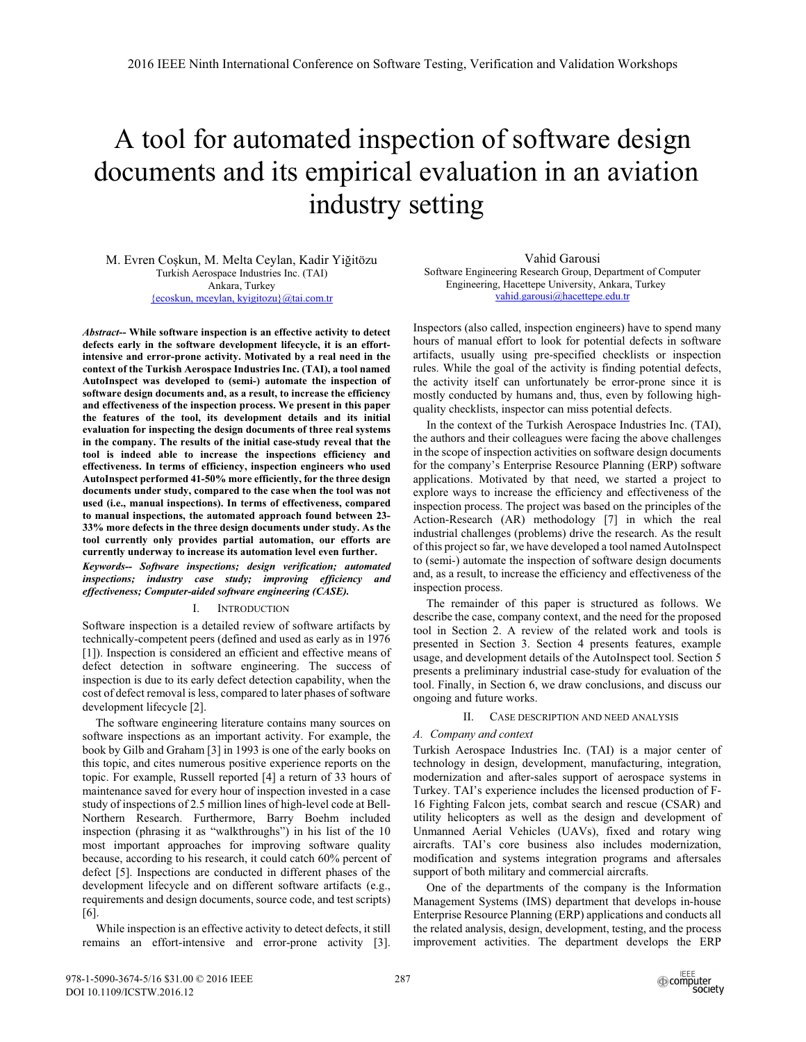# A tool for automated inspection of software design documents and its empirical evaluation in an aviation industry setting

M. Evren Coşkun, M. Melta Ceylan, Kadir Yiğitözu Turkish Aerospace Industries Inc. (TAI) Ankara, Turkey {ecoskun, mceylan, kyigitozu}@tai.com.tr

*Abstract***-- While software inspection is an effective activity to detect defects early in the software development lifecycle, it is an effortintensive and error-prone activity. Motivated by a real need in the context of the Turkish Aerospace Industries Inc. (TAI), a tool named AutoInspect was developed to (semi-) automate the inspection of software design documents and, as a result, to increase the efficiency and effectiveness of the inspection process. We present in this paper the features of the tool, its development details and its initial evaluation for inspecting the design documents of three real systems in the company. The results of the initial case-study reveal that the tool is indeed able to increase the inspections efficiency and effectiveness. In terms of efficiency, inspection engineers who used AutoInspect performed 41-50% more efficiently, for the three design documents under study, compared to the case when the tool was not used (i.e., manual inspections). In terms of effectiveness, compared to manual inspections, the automated approach found between 23- 33% more defects in the three design documents under study. As the tool currently only provides partial automation, our efforts are currently underway to increase its automation level even further.** 

*Keywords-- Software inspections; design verification; automated inspections; industry case study; improving efficiency and effectiveness; Computer-aided software engineering (CASE).* 

## I. INTRODUCTION

Software inspection is a detailed review of software artifacts by technically-competent peers (defined and used as early as in 1976 [1]). Inspection is considered an efficient and effective means of defect detection in software engineering. The success of inspection is due to its early defect detection capability, when the cost of defect removal is less, compared to later phases of software development lifecycle [2].

The software engineering literature contains many sources on software inspections as an important activity. For example, the book by Gilb and Graham [3] in 1993 is one of the early books on this topic, and cites numerous positive experience reports on the topic. For example, Russell reported [4] a return of 33 hours of maintenance saved for every hour of inspection invested in a case study of inspections of 2.5 million lines of high-level code at Bell-Northern Research. Furthermore, Barry Boehm included inspection (phrasing it as "walkthroughs") in his list of the 10 most important approaches for improving software quality because, according to his research, it could catch 60% percent of defect [5]. Inspections are conducted in different phases of the development lifecycle and on different software artifacts (e.g., requirements and design documents, source code, and test scripts) [6].

While inspection is an effective activity to detect defects, it still remains an effort-intensive and error-prone activity [3].

Vahid Garousi Software Engineering Research Group, Department of Computer Engineering, Hacettepe University, Ankara, Turkey vahid.garousi@hacettepe.edu.tr

Inspectors (also called, inspection engineers) have to spend many hours of manual effort to look for potential defects in software artifacts, usually using pre-specified checklists or inspection rules. While the goal of the activity is finding potential defects, the activity itself can unfortunately be error-prone since it is mostly conducted by humans and, thus, even by following highquality checklists, inspector can miss potential defects.

In the context of the Turkish Aerospace Industries Inc. (TAI), the authors and their colleagues were facing the above challenges in the scope of inspection activities on software design documents for the company's Enterprise Resource Planning (ERP) software applications. Motivated by that need, we started a project to explore ways to increase the efficiency and effectiveness of the inspection process. The project was based on the principles of the Action-Research (AR) methodology [7] in which the real industrial challenges (problems) drive the research. As the result of this project so far, we have developed a tool named AutoInspect to (semi-) automate the inspection of software design documents and, as a result, to increase the efficiency and effectiveness of the inspection process.

The remainder of this paper is structured as follows. We describe the case, company context, and the need for the proposed tool in Section 2. A review of the related work and tools is presented in Section 3. Section 4 presents features, example usage, and development details of the AutoInspect tool. Section 5 presents a preliminary industrial case-study for evaluation of the tool. Finally, in Section 6, we draw conclusions, and discuss our ongoing and future works.

## II. CASE DESCRIPTION AND NEED ANALYSIS

## *A. Company and context*

Turkish Aerospace Industries Inc. (TAI) is a major center of technology in design, development, manufacturing, integration, modernization and after-sales support of aerospace systems in Turkey. TAI's experience includes the licensed production of F-16 Fighting Falcon jets, combat search and rescue (CSAR) and utility helicopters as well as the design and development of Unmanned Aerial Vehicles (UAVs), fixed and rotary wing aircrafts. TAI's core business also includes modernization, modification and systems integration programs and aftersales support of both military and commercial aircrafts.

One of the departments of the company is the Information Management Systems (IMS) department that develops in-house Enterprise Resource Planning (ERP) applications and conducts all the related analysis, design, development, testing, and the process improvement activities. The department develops the ERP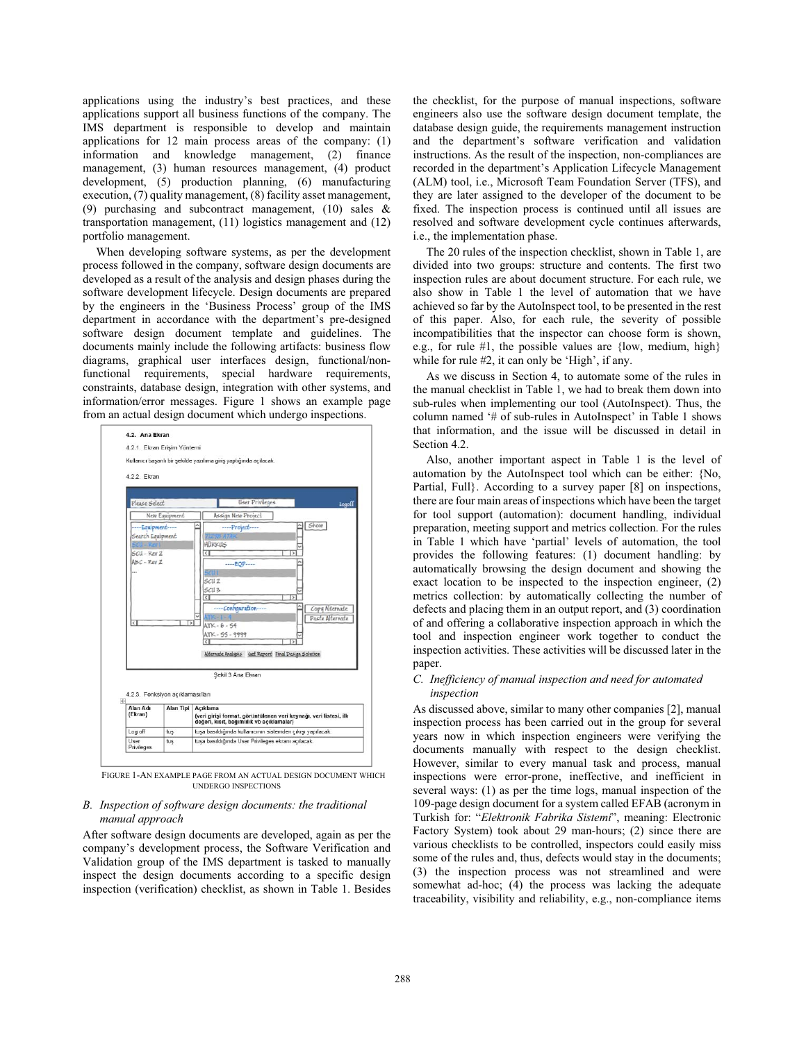applications using the industry's best practices, and these applications support all business functions of the company. The IMS department is responsible to develop and maintain applications for 12 main process areas of the company: (1) information and knowledge management, (2) finance management, (3) human resources management, (4) product development, (5) production planning, (6) manufacturing execution, (7) quality management, (8) facility asset management, (9) purchasing and subcontract management, (10) sales & transportation management, (11) logistics management and (12) portfolio management.

When developing software systems, as per the development process followed in the company, software design documents are developed as a result of the analysis and design phases during the software development lifecycle. Design documents are prepared by the engineers in the 'Business Process' group of the IMS department in accordance with the department's pre-designed software design document template and guidelines. The documents mainly include the following artifacts: business flow diagrams, graphical user interfaces design, functional/nonfunctional requirements, special hardware requirements, constraints, database design, integration with other systems, and information/error messages. Figure 1 shows an example page from an actual design document which undergo inspections.



FIGURE 1-AN EXAMPLE PAGE FROM AN ACTUAL DESIGN DOCUMENT WHICH UNDERGO INSPECTIONS

# *B. Inspection of software design documents: the traditional manual approach*

After software design documents are developed, again as per the company's development process, the Software Verification and Validation group of the IMS department is tasked to manually inspect the design documents according to a specific design inspection (verification) checklist, as shown in Table 1. Besides the checklist, for the purpose of manual inspections, software engineers also use the software design document template, the database design guide, the requirements management instruction and the department's software verification and validation instructions. As the result of the inspection, non-compliances are recorded in the department's Application Lifecycle Management (ALM) tool, i.e., Microsoft Team Foundation Server (TFS), and they are later assigned to the developer of the document to be fixed. The inspection process is continued until all issues are resolved and software development cycle continues afterwards, i.e., the implementation phase.

The 20 rules of the inspection checklist, shown in Table 1, are divided into two groups: structure and contents. The first two inspection rules are about document structure. For each rule, we also show in Table 1 the level of automation that we have achieved so far by the AutoInspect tool, to be presented in the rest of this paper. Also, for each rule, the severity of possible incompatibilities that the inspector can choose form is shown, e.g., for rule #1, the possible values are {low, medium, high} while for rule #2, it can only be 'High', if any.

As we discuss in Section 4, to automate some of the rules in the manual checklist in Table 1, we had to break them down into sub-rules when implementing our tool (AutoInspect). Thus, the column named '# of sub-rules in AutoInspect' in Table 1 shows that information, and the issue will be discussed in detail in Section 4.2.

Also, another important aspect in Table 1 is the level of automation by the AutoInspect tool which can be either: {No, Partial, Full}. According to a survey paper [8] on inspections, there are four main areas of inspections which have been the target for tool support (automation): document handling, individual preparation, meeting support and metrics collection. For the rules in Table 1 which have 'partial' levels of automation, the tool provides the following features: (1) document handling: by automatically browsing the design document and showing the exact location to be inspected to the inspection engineer, (2) metrics collection: by automatically collecting the number of defects and placing them in an output report, and (3) coordination of and offering a collaborative inspection approach in which the tool and inspection engineer work together to conduct the inspection activities. These activities will be discussed later in the paper.

# *C. Inefficiency of manual inspection and need for automated inspection*

As discussed above, similar to many other companies [2], manual inspection process has been carried out in the group for several years now in which inspection engineers were verifying the documents manually with respect to the design checklist. However, similar to every manual task and process, manual inspections were error-prone, ineffective, and inefficient in several ways: (1) as per the time logs, manual inspection of the 109-page design document for a system called EFAB (acronym in Turkish for: "*Elektronik Fabrika Sistemi*", meaning: Electronic Factory System) took about 29 man-hours; (2) since there are various checklists to be controlled, inspectors could easily miss some of the rules and, thus, defects would stay in the documents; (3) the inspection process was not streamlined and were somewhat ad-hoc; (4) the process was lacking the adequate traceability, visibility and reliability, e.g., non-compliance items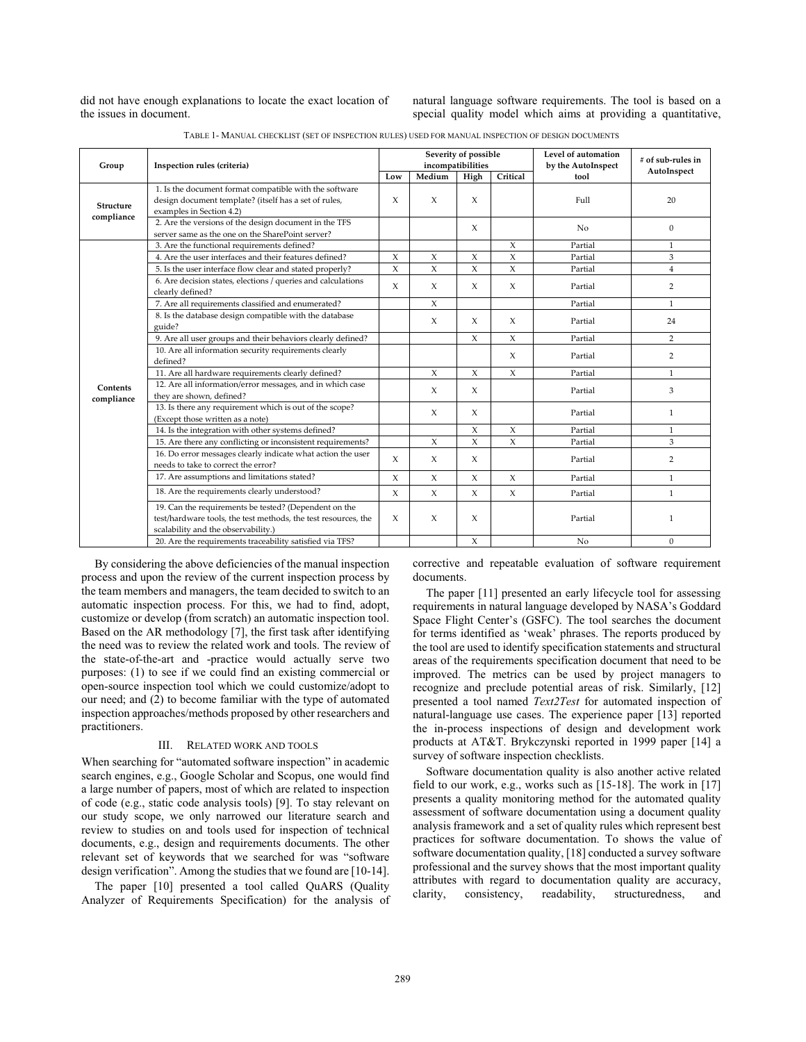did not have enough explanations to locate the exact location of the issues in document.

natural language software requirements. The tool is based on a special quality model which aims at providing a quantitative,

|                         | Inspection rules (criteria)                                                                                                                                    |        |                  | Severity of possible |             | Level of automation | # of sub-rules in<br>AutoInspect |
|-------------------------|----------------------------------------------------------------------------------------------------------------------------------------------------------------|--------|------------------|----------------------|-------------|---------------------|----------------------------------|
| Group                   |                                                                                                                                                                |        |                  | incompatibilities    | Critical    | by the AutoInspect  |                                  |
| Structure<br>compliance | 1. Is the document format compatible with the software<br>design document template? (itself has a set of rules,                                                |        | Medium<br>$\chi$ | High<br>$\chi$       |             | tool<br>Full        | 20                               |
|                         | examples in Section 4.2)<br>2. Are the versions of the design document in the TFS<br>server same as the one on the SharePoint server?                          |        |                  | $\chi$               |             | N <sub>0</sub>      | $\mathbf{0}$                     |
|                         | 3. Are the functional requirements defined?                                                                                                                    |        |                  |                      | $\chi$      | Partial             | $\mathbf{1}$                     |
|                         | 4. Are the user interfaces and their features defined?                                                                                                         | X      | $\chi$           | $\chi$               | X           | Partial             | 3                                |
|                         | 5. Is the user interface flow clear and stated properly?                                                                                                       | $\chi$ | $\chi$           | $\chi$               | $\chi$      | Partial             | $\overline{4}$                   |
|                         | 6. Are decision states, elections / queries and calculations<br>clearly defined?                                                                               | X      | $\chi$           | $\chi$               | $\chi$      | Partial             | 2                                |
|                         | 7. Are all requirements classified and enumerated?                                                                                                             |        | $\chi$           |                      |             | Partial             | $\mathbf{1}$                     |
|                         | 8. Is the database design compatible with the database<br>guide?                                                                                               |        | $\chi$           | X                    | $\chi$      | Partial             | 24                               |
|                         | 9. Are all user groups and their behaviors clearly defined?                                                                                                    |        |                  | $\chi$               | $\chi$      | Partial             | $\overline{2}$                   |
|                         | 10. Are all information security requirements clearly<br>defined?                                                                                              |        |                  |                      | $\chi$      | Partial             | 2                                |
|                         | 11. Are all hardware requirements clearly defined?                                                                                                             |        | $\chi$           | $\chi$               | $\mathsf X$ | Partial             | 1                                |
| Contents<br>compliance  | 12. Are all information/error messages, and in which case<br>they are shown, defined?                                                                          |        | $\chi$           | $\chi$               |             | Partial             | 3                                |
|                         | 13. Is there any requirement which is out of the scope?<br>(Except those written as a note)                                                                    |        | $\chi$           | $\chi$               |             | Partial             | $\mathbf{1}$                     |
|                         | 14. Is the integration with other systems defined?                                                                                                             |        |                  | $\chi$               | $\chi$      | Partial             | $\mathbf{1}$                     |
|                         | 15. Are there any conflicting or inconsistent requirements?                                                                                                    |        | X                | X                    | X           | Partial             | 3                                |
|                         | 16. Do error messages clearly indicate what action the user<br>needs to take to correct the error?                                                             | X      | $\chi$           | $\chi$               |             | Partial             | 2                                |
|                         | 17. Are assumptions and limitations stated?                                                                                                                    | X      | $\chi$           | X                    | $\chi$      | Partial             | 1                                |
|                         | 18. Are the requirements clearly understood?                                                                                                                   | X      | $\chi$           | $\chi$               | $\chi$      | Partial             | $\mathbf{1}$                     |
|                         | 19. Can the requirements be tested? (Dependent on the<br>test/hardware tools, the test methods, the test resources, the<br>scalability and the observability.) | X      | $\chi$           | X                    |             | Partial             | 1                                |
|                         | 20. Are the requirements traceability satisfied via TFS?                                                                                                       |        |                  | $\chi$               |             | N <sub>0</sub>      | $\Omega$                         |

TABLE 1- MANUAL CHECKLIST (SET OF INSPECTION RULES) USED FOR MANUAL INSPECTION OF DESIGN DOCUMENTS

By considering the above deficiencies of the manual inspection process and upon the review of the current inspection process by the team members and managers, the team decided to switch to an automatic inspection process. For this, we had to find, adopt, customize or develop (from scratch) an automatic inspection tool. Based on the AR methodology [7], the first task after identifying the need was to review the related work and tools. The review of the state-of-the-art and -practice would actually serve two purposes: (1) to see if we could find an existing commercial or open-source inspection tool which we could customize/adopt to our need; and (2) to become familiar with the type of automated inspection approaches/methods proposed by other researchers and practitioners.

# III. RELATED WORK AND TOOLS

When searching for "automated software inspection" in academic search engines, e.g., Google Scholar and Scopus, one would find a large number of papers, most of which are related to inspection of code (e.g., static code analysis tools) [9]. To stay relevant on our study scope, we only narrowed our literature search and review to studies on and tools used for inspection of technical documents, e.g., design and requirements documents. The other relevant set of keywords that we searched for was "software design verification". Among the studies that we found are [10-14].

The paper [10] presented a tool called QuARS (Quality Analyzer of Requirements Specification) for the analysis of

corrective and repeatable evaluation of software requirement documents.

The paper [11] presented an early lifecycle tool for assessing requirements in natural language developed by NASA's Goddard Space Flight Center's (GSFC). The tool searches the document for terms identified as 'weak' phrases. The reports produced by the tool are used to identify specification statements and structural areas of the requirements specification document that need to be improved. The metrics can be used by project managers to recognize and preclude potential areas of risk. Similarly, [12] presented a tool named *Text2Test* for automated inspection of natural-language use cases. The experience paper [13] reported the in-process inspections of design and development work products at AT&T. Brykczynski reported in 1999 paper [14] a survey of software inspection checklists.

Software documentation quality is also another active related field to our work, e.g., works such as [15-18]. The work in [17] presents a quality monitoring method for the automated quality assessment of software documentation using a document quality analysis framework and a set of quality rules which represent best practices for software documentation. To shows the value of software documentation quality, [18] conducted a survey software professional and the survey shows that the most important quality attributes with regard to documentation quality are accuracy, clarity, consistency, readability, structuredness, and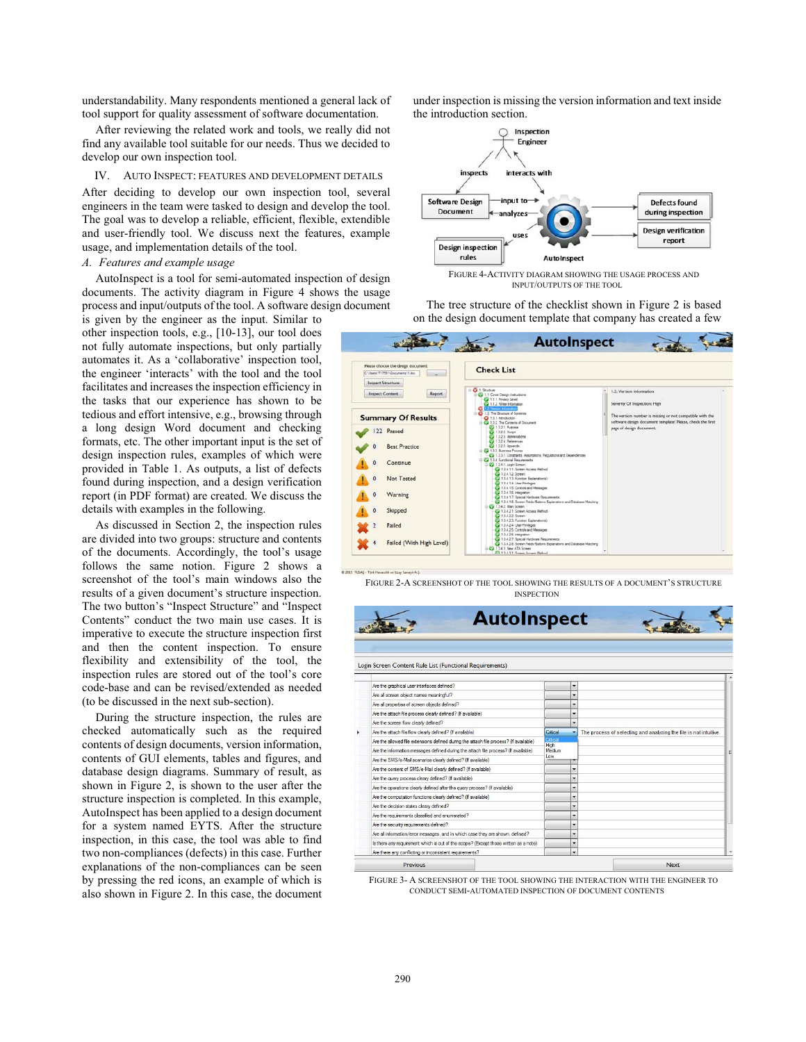understandability. Many respondents mentioned a general lack of tool support for quality assessment of software documentation.

After reviewing the related work and tools, we really did not find any available tool suitable for our needs. Thus we decided to develop our own inspection tool.

#### IV. AUTO INSPECT: FEATURES AND DEVELOPMENT DETAILS

After deciding to develop our own inspection tool, several engineers in the team were tasked to design and develop the tool. The goal was to develop a reliable, efficient, flexible, extendible and user-friendly tool. We discuss next the features, example usage, and implementation details of the tool.

# *A. Features and example usage*

AutoInspect is a tool for semi-automated inspection of design documents. The activity diagram in Figure 4 shows the usage process and input/outputs of the tool. A software design document

is given by the engineer as the input. Similar to other inspection tools, e.g., [10-13], our tool does not fully automate inspections, but only partially automates it. As a 'collaborative' inspection tool, the engineer 'interacts' with the tool and the tool facilitates and increases the inspection efficiency in the tasks that our experience has shown to be tedious and effort intensive, e.g., browsing through a long design Word document and checking formats, etc. The other important input is the set of design inspection rules, examples of which were provided in Table 1. As outputs, a list of defects found during inspection, and a design verification report (in PDF format) are created. We discuss the details with examples in the following.

As discussed in Section 2, the inspection rules are divided into two groups: structure and contents of the documents. Accordingly, the tool's usage follows the same notion. Figure 2 shows a screenshot of the tool's main windows also the results of a given document's structure inspection. The two button's "Inspect Structure" and "Inspect Contents" conduct the two main use cases. It is imperative to execute the structure inspection first and then the content inspection. To ensure flexibility and extensibility of the tool, the inspection rules are stored out of the tool's core code-base and can be revised/extended as needed (to be discussed in the next sub-section).

During the structure inspection, the rules are checked automatically such as the required contents of design documents, version information, contents of GUI elements, tables and figures, and database design diagrams. Summary of result, as shown in Figure 2, is shown to the user after the structure inspection is completed. In this example, AutoInspect has been applied to a design document for a system named EYTS. After the structure inspection, in this case, the tool was able to find two non-compliances (defects) in this case. Further explanations of the non-compliances can be seen by pressing the red icons, an example of which is also shown in Figure 2. In this case, the document

under inspection is missing the version information and text inside the introduction section.



FIGURE 4-ACTIVITY DIAGRAM SHOWING THE USAGE PROCESS AND INPUT/OUTPUTS OF THE TOOL

The tree structure of the checklist shown in Figure 2 is based on the design document template that company has created a few



FIGURE 2-A SCREENSHOT OF THE TOOL SHOWING THE RESULTS OF A DOCUMENT'S STRUCTURE **INSPECTION** 

| <b>AutoInspect</b>                                                                     |                  |         |                                                                   |
|----------------------------------------------------------------------------------------|------------------|---------|-------------------------------------------------------------------|
|                                                                                        |                  |         |                                                                   |
| Login Screen Content Rule List (Functional Requirements)                               |                  |         |                                                                   |
| Are the graphical user interfaces defined?                                             |                  | ۰       |                                                                   |
| Are all screen object names meaningful?                                                |                  | ٠       |                                                                   |
| Are all properties of screen objects defined?                                          |                  | ۰       |                                                                   |
| Are the attach file process clearly defined? (If available)                            |                  | ۰       |                                                                   |
| Are the screen flow clearly defined?                                                   |                  | ۰       |                                                                   |
| Are the attach file flow clearly defined? (If available)                               | Critical         |         | The process of selecting and analyzing the file is not intuitive. |
| Are the allowed file extensions defined during the attach file process? (If available) | Critical<br>High |         |                                                                   |
| Are the information messages defined during the attach file process? (If available)    | Medium           |         |                                                                   |
| Are the SMS/e-Mail scenarios clearly defined? (If available)                           | Low              |         |                                                                   |
| Are the content of SMS/e-Mail clearly defined? (If available)                          |                  | ۰       |                                                                   |
| Are the query process cleary defined? (If available)                                   |                  | ۰       |                                                                   |
| Are the operations clearly defined after the query process? (If available)             |                  | ٠       |                                                                   |
| Are the computation functions clearly defined? (If available)                          |                  | ٠       |                                                                   |
| Are the decision states cleary defined?                                                |                  | ۰       |                                                                   |
| Are the requirements classified and enumerated?                                        |                  | $\cdot$ |                                                                   |
| Are the security requirements defined?                                                 |                  | ۰       |                                                                   |
| Are all information/error messages, and in which case they are shown, defined?         |                  | ۰       |                                                                   |
| Is there any requirement which is out of the scope? (Except those written as a note)   |                  | ۰       |                                                                   |
| Are there any conflicting or inconsistent requirements?                                |                  | ۰       |                                                                   |

FIGURE 3- A SCREENSHOT OF THE TOOL SHOWING THE INTERACTION WITH THE ENGINEER TO CONDUCT SEMI-AUTOMATED INSPECTION OF DOCUMENT CONTENTS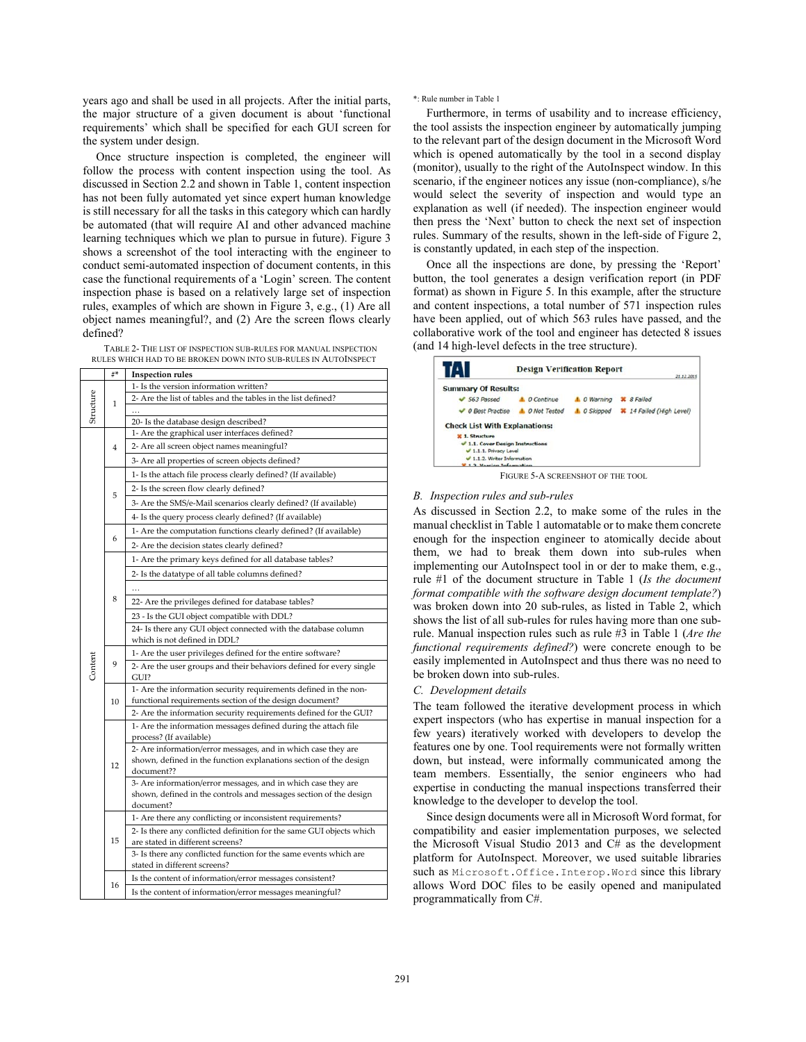years ago and shall be used in all projects. After the initial parts, the major structure of a given document is about 'functional requirements' which shall be specified for each GUI screen for the system under design.

Once structure inspection is completed, the engineer will follow the process with content inspection using the tool. As discussed in Section 2.2 and shown in Table 1, content inspection has not been fully automated yet since expert human knowledge is still necessary for all the tasks in this category which can hardly be automated (that will require AI and other advanced machine learning techniques which we plan to pursue in future). Figure 3 shows a screenshot of the tool interacting with the engineer to conduct semi-automated inspection of document contents, in this case the functional requirements of a 'Login' screen. The content inspection phase is based on a relatively large set of inspection rules, examples of which are shown in Figure 3, e.g., (1) Are all object names meaningful?, and (2) Are the screen flows clearly defined?

| TABLE 2- THE LIST OF INSPECTION SUB-RULES FOR MANUAL INSPECTION |
|-----------------------------------------------------------------|
| RULES WHICH HAD TO BE BROKEN DOWN INTO SUB-RULES IN AUTOINSPECT |

|           | $#*$     | <b>Inspection rules</b>                                                                                                            |
|-----------|----------|------------------------------------------------------------------------------------------------------------------------------------|
| Structure | 1        | 1- Is the version information written?                                                                                             |
|           |          | 2- Are the list of tables and the tables in the list defined?                                                                      |
|           |          |                                                                                                                                    |
|           |          | 20- Is the database design described?<br>1- Are the graphical user interfaces defined?                                             |
|           | 4        | 2- Are all screen object names meaningful?                                                                                         |
|           |          |                                                                                                                                    |
|           |          | 3- Are all properties of screen objects defined?                                                                                   |
|           | 5        | 1- Is the attach file process clearly defined? (If available)                                                                      |
|           |          | 2- Is the screen flow clearly defined?                                                                                             |
|           |          | 3- Are the SMS/e-Mail scenarios clearly defined? (If available)                                                                    |
|           |          | 4- Is the query process clearly defined? (If available)                                                                            |
|           | 6        | 1- Are the computation functions clearly defined? (If available)                                                                   |
|           |          | 2- Are the decision states clearly defined?                                                                                        |
|           |          | 1- Are the primary keys defined for all database tables?                                                                           |
|           |          | 2- Is the datatype of all table columns defined?                                                                                   |
|           |          |                                                                                                                                    |
|           | 8        | 22- Are the privileges defined for database tables?                                                                                |
|           |          | 23 - Is the GUI object compatible with DDL?                                                                                        |
|           |          | 24- Is there any GUI object connected with the database column                                                                     |
|           |          | which is not defined in DDL?                                                                                                       |
|           | 9<br>10  | 1- Are the user privileges defined for the entire software?                                                                        |
| Conten    |          | 2- Are the user groups and their behaviors defined for every single                                                                |
|           |          | GUI?                                                                                                                               |
|           |          | 1- Are the information security requirements defined in the non-<br>functional requirements section of the design document?        |
|           |          | 2- Are the information security requirements defined for the GUI?                                                                  |
|           | 12       | 1- Are the information messages defined during the attach file                                                                     |
|           |          | process? (If available)                                                                                                            |
|           |          | 2- Are information/error messages, and in which case they are                                                                      |
|           |          | shown, defined in the function explanations section of the design                                                                  |
|           |          | document??                                                                                                                         |
|           |          | 3- Are information/error messages, and in which case they are<br>shown, defined in the controls and messages section of the design |
|           |          | document?                                                                                                                          |
|           | 15<br>16 | 1- Are there any conflicting or inconsistent requirements?                                                                         |
|           |          | 2- Is there any conflicted definition for the same GUI objects which                                                               |
|           |          | are stated in different screens?                                                                                                   |
|           |          | 3- Is there any conflicted function for the same events which are                                                                  |
|           |          | stated in different screens?                                                                                                       |
|           |          | Is the content of information/error messages consistent?                                                                           |
|           |          | Is the content of information/error messages meaningful?                                                                           |

\*: Rule number in Table 1

Furthermore, in terms of usability and to increase efficiency, the tool assists the inspection engineer by automatically jumping to the relevant part of the design document in the Microsoft Word which is opened automatically by the tool in a second display (monitor), usually to the right of the AutoInspect window. In this scenario, if the engineer notices any issue (non-compliance), s/he would select the severity of inspection and would type an explanation as well (if needed). The inspection engineer would then press the 'Next' button to check the next set of inspection rules. Summary of the results, shown in the left-side of Figure 2, is constantly updated, in each step of the inspection.

Once all the inspections are done, by pressing the 'Report' button, the tool generates a design verification report (in PDF format) as shown in Figure 5. In this example, after the structure and content inspections, a total number of 571 inspection rules have been applied, out of which 563 rules have passed, and the collaborative work of the tool and engineer has detected 8 issues (and 14 high-level defects in the tree structure).



FIGURE 5-A SCREENSHOT OF THE TOOL

#### *B. Inspection rules and sub-rules*

As discussed in Section 2.2, to make some of the rules in the manual checklist in Table 1 automatable or to make them concrete enough for the inspection engineer to atomically decide about them, we had to break them down into sub-rules when implementing our AutoInspect tool in or der to make them, e.g., rule #1 of the document structure in Table 1 (*Is the document format compatible with the software design document template?*) was broken down into 20 sub-rules, as listed in Table 2, which shows the list of all sub-rules for rules having more than one subrule. Manual inspection rules such as rule #3 in Table 1 (*Are the functional requirements defined?*) were concrete enough to be easily implemented in AutoInspect and thus there was no need to be broken down into sub-rules.

#### *C. Development details*

The team followed the iterative development process in which expert inspectors (who has expertise in manual inspection for a few years) iteratively worked with developers to develop the features one by one. Tool requirements were not formally written down, but instead, were informally communicated among the team members. Essentially, the senior engineers who had expertise in conducting the manual inspections transferred their knowledge to the developer to develop the tool.

Since design documents were all in Microsoft Word format, for compatibility and easier implementation purposes, we selected the Microsoft Visual Studio 2013 and C# as the development platform for AutoInspect. Moreover, we used suitable libraries such as Microsoft.Office.Interop.Word since this library allows Word DOC files to be easily opened and manipulated programmatically from C#.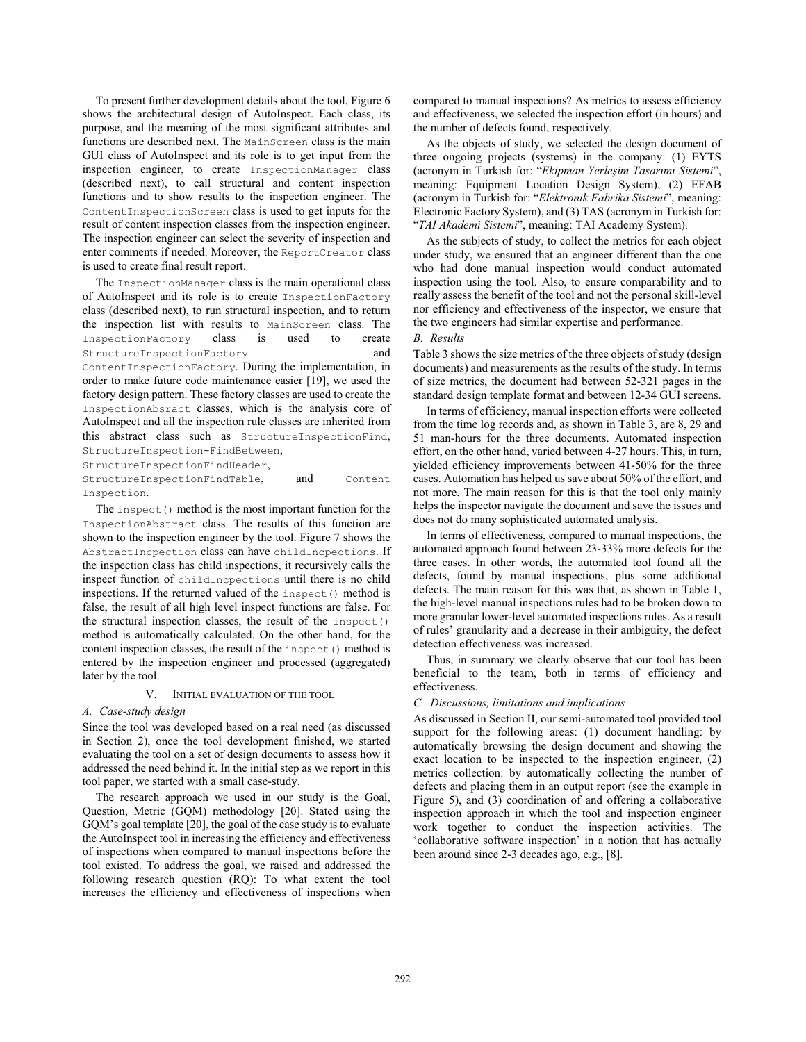To present further development details about the tool, Figure 6 shows the architectural design of AutoInspect. Each class, its purpose, and the meaning of the most significant attributes and functions are described next. The MainScreen class is the main GUI class of AutoInspect and its role is to get input from the inspection engineer, to create InspectionManager class (described next), to call structural and content inspection functions and to show results to the inspection engineer. The ContentInspectionScreen class is used to get inputs for the result of content inspection classes from the inspection engineer. The inspection engineer can select the severity of inspection and enter comments if needed. Moreover, the ReportCreator class is used to create final result report.

The InspectionManager class is the main operational class of AutoInspect and its role is to create InspectionFactory class (described next), to run structural inspection, and to return the inspection list with results to MainScreen class. The InspectionFactory class is used to create StructureInspectionFactory and ContentInspectionFactory. During the implementation, in order to make future code maintenance easier [19], we used the factory design pattern. These factory classes are used to create the InspectionAbsract classes, which is the analysis core of AutoInspect and all the inspection rule classes are inherited from this abstract class such as StructureInspectionFind, StructureInspection-FindBetween,

StructureInspectionFindHeader,

StructureInspectionFindTable, and Content Inspection.

The inspect () method is the most important function for the InspectionAbstract class. The results of this function are shown to the inspection engineer by the tool. Figure 7 shows the AbstractIncpection class can have childIncpections. If the inspection class has child inspections, it recursively calls the inspect function of childIncpections until there is no child inspections. If the returned valued of the inspect() method is false, the result of all high level inspect functions are false. For the structural inspection classes, the result of the inspect() method is automatically calculated. On the other hand, for the content inspection classes, the result of the inspect() method is entered by the inspection engineer and processed (aggregated) later by the tool.

# V. INITIAL EVALUATION OF THE TOOL

## *A. Case-study design*

Since the tool was developed based on a real need (as discussed in Section 2), once the tool development finished, we started evaluating the tool on a set of design documents to assess how it addressed the need behind it. In the initial step as we report in this tool paper, we started with a small case-study.

The research approach we used in our study is the Goal, Question, Metric (GQM) methodology [20]. Stated using the GQM's goal template [20], the goal of the case study is to evaluate the AutoInspect tool in increasing the efficiency and effectiveness of inspections when compared to manual inspections before the tool existed. To address the goal, we raised and addressed the following research question (RQ): To what extent the tool increases the efficiency and effectiveness of inspections when compared to manual inspections? As metrics to assess efficiency and effectiveness, we selected the inspection effort (in hours) and the number of defects found, respectively.

As the objects of study, we selected the design document of three ongoing projects (systems) in the company: (1) EYTS (acronym in Turkish for: "*Ekipman Yerle-im Tasarm Sistemi*", meaning: Equipment Location Design System), (2) EFAB (acronym in Turkish for: "*Elektronik Fabrika Sistemi*", meaning: Electronic Factory System), and (3) TAS (acronym in Turkish for: "*TAI Akademi Sistemi*", meaning: TAI Academy System).

As the subjects of study, to collect the metrics for each object under study, we ensured that an engineer different than the one who had done manual inspection would conduct automated inspection using the tool. Also, to ensure comparability and to really assess the benefit of the tool and not the personal skill-level nor efficiency and effectiveness of the inspector, we ensure that the two engineers had similar expertise and performance.

# *B. Results*

Table 3 shows the size metrics of the three objects of study (design documents) and measurements as the results of the study. In terms of size metrics, the document had between 52-321 pages in the standard design template format and between 12-34 GUI screens.

In terms of efficiency, manual inspection efforts were collected from the time log records and, as shown in Table 3, are 8, 29 and 51 man-hours for the three documents. Automated inspection effort, on the other hand, varied between 4-27 hours. This, in turn, yielded efficiency improvements between 41-50% for the three cases. Automation has helped us save about 50% of the effort, and not more. The main reason for this is that the tool only mainly helps the inspector navigate the document and save the issues and does not do many sophisticated automated analysis.

In terms of effectiveness, compared to manual inspections, the automated approach found between 23-33% more defects for the three cases. In other words, the automated tool found all the defects, found by manual inspections, plus some additional defects. The main reason for this was that, as shown in Table 1, the high-level manual inspections rules had to be broken down to more granular lower-level automated inspections rules. As a result of rules' granularity and a decrease in their ambiguity, the defect detection effectiveness was increased.

Thus, in summary we clearly observe that our tool has been beneficial to the team, both in terms of efficiency and effectiveness.

#### *C. Discussions, limitations and implications*

As discussed in Section II, our semi-automated tool provided tool support for the following areas: (1) document handling: by automatically browsing the design document and showing the exact location to be inspected to the inspection engineer, (2) metrics collection: by automatically collecting the number of defects and placing them in an output report (see the example in Figure 5), and (3) coordination of and offering a collaborative inspection approach in which the tool and inspection engineer work together to conduct the inspection activities. The 'collaborative software inspection' in a notion that has actually been around since 2-3 decades ago, e.g., [8].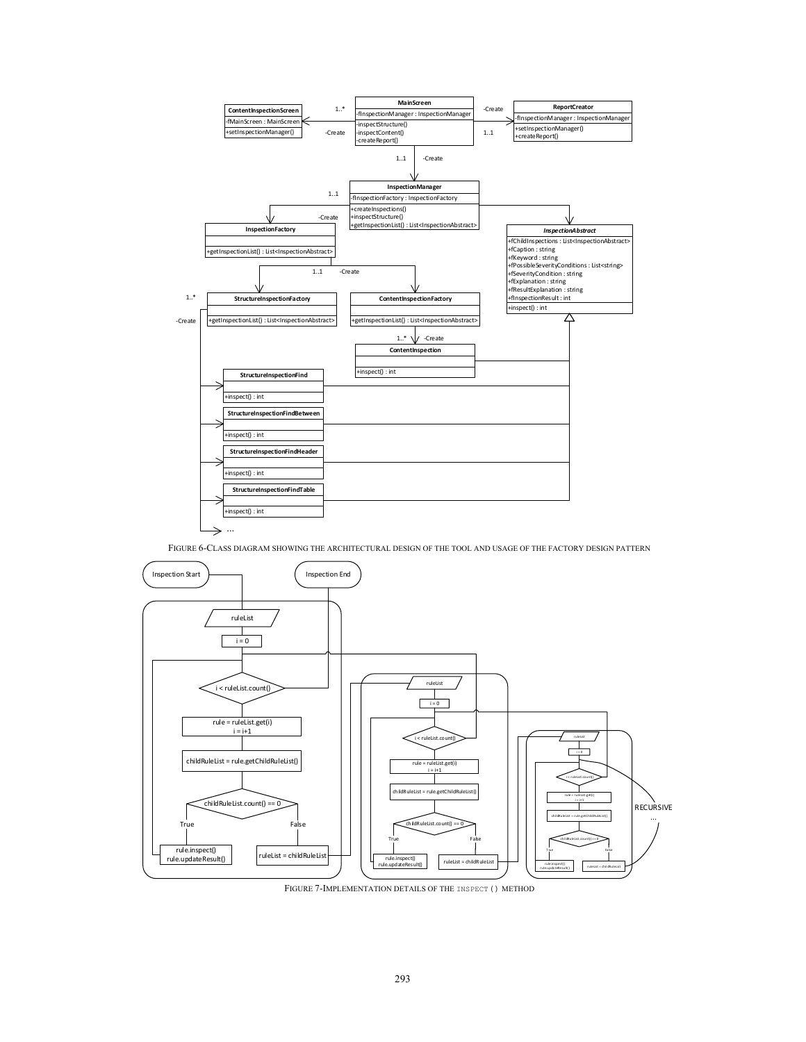

FIGURE 6-CLASS DIAGRAM SHOWING THE ARCHITECTURAL DESIGN OF THE TOOL AND USAGE OF THE FACTORY DESIGN PATTERN



FIGURE 7-IMPLEMENTATION DETAILS OF THE INSPECT() METHOD